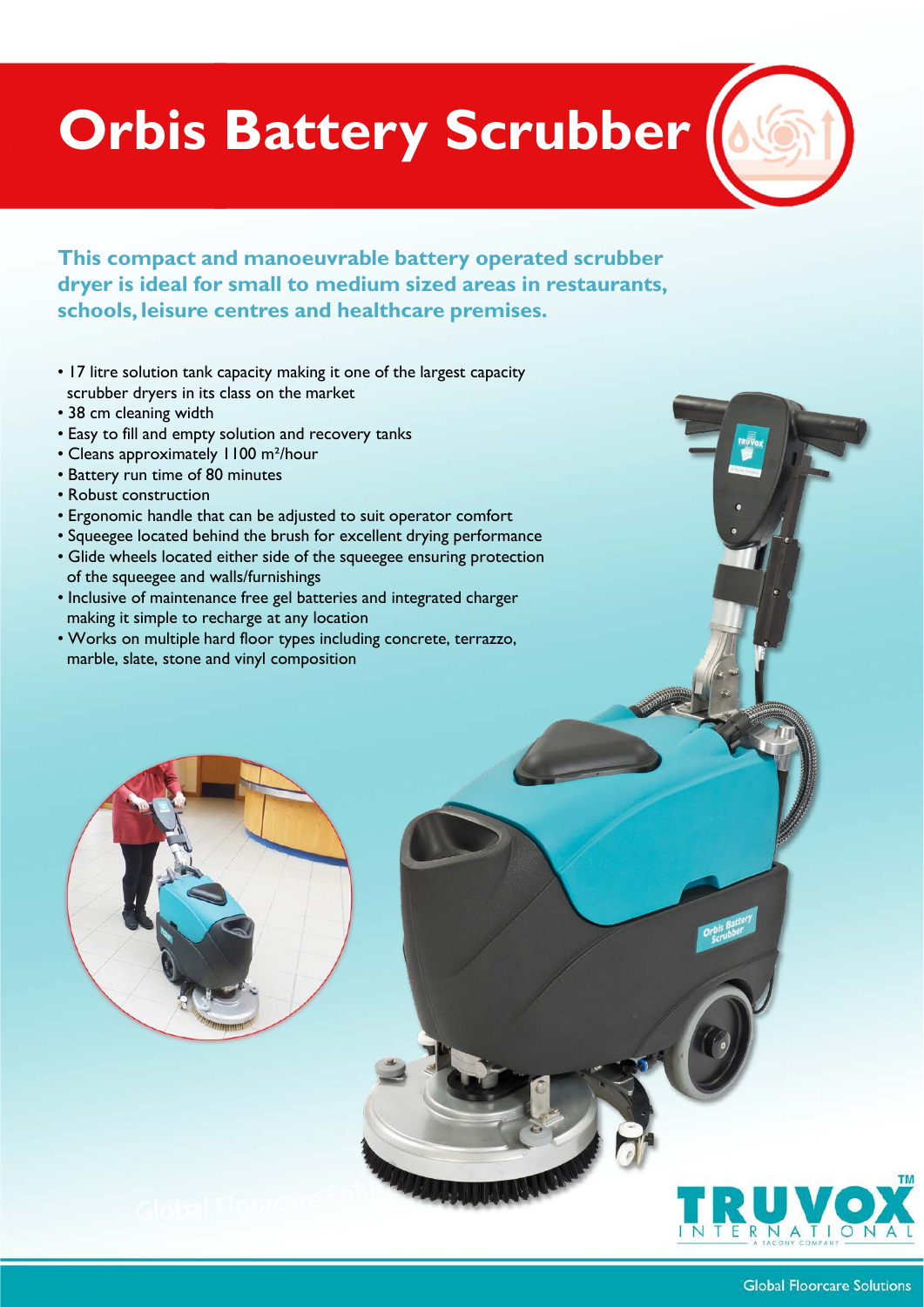## **Orbis Battery Scrubber**

**This compact and manoeuvrable battery operated scrubber dryer is ideal for small to medium sized areas in restaurants, schools, leisure centres and healthcare premises.**

- 17 litre solution tank capacity making it one of the largest capacity scrubber dryers in its class on the market
- 38 cm cleaning width
- Easy to fill and empty solution and recovery tanks
- Cleans approximately 1100 m²/hour
- Battery run time of 80 minutes
- Robust construction
- Ergonomic handle that can be adjusted to suit operator comfort
- Squeegee located behind the brush for excellent drying performance
- Glide wheels located either side of the squeegee ensuring protection of the squeegee and walls/furnishings
- Inclusive of maintenance free gel batteries and integrated charger making it simple to recharge at any location
- Works on multiple hard floor types including concrete, terrazzo, marble, slate, stone and vinyl composition